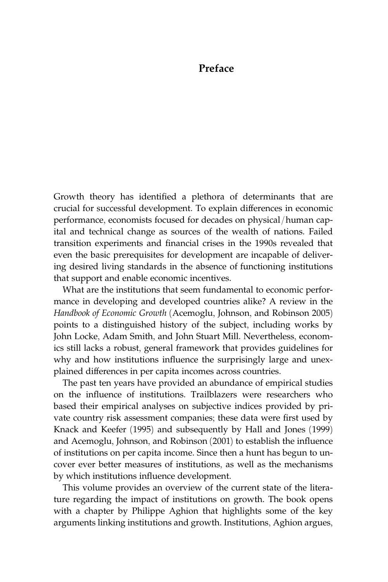## Preface

Growth theory has identified a plethora of determinants that are crucial for successful development. To explain differences in economic performance, economists focused for decades on physical/human capital and technical change as sources of the wealth of nations. Failed transition experiments and financial crises in the 1990s revealed that even the basic prerequisites for development are incapable of delivering desired living standards in the absence of functioning institutions that support and enable economic incentives.

What are the institutions that seem fundamental to economic performance in developing and developed countries alike? A review in the Handbook of Economic Growth (Acemoglu, Johnson, and Robinson 2005) points to a distinguished history of the subject, including works by John Locke, Adam Smith, and John Stuart Mill. Nevertheless, economics still lacks a robust, general framework that provides guidelines for why and how institutions influence the surprisingly large and unexplained differences in per capita incomes across countries.

The past ten years have provided an abundance of empirical studies on the influence of institutions. Trailblazers were researchers who based their empirical analyses on subjective indices provided by private country risk assessment companies; these data were first used by Knack and Keefer (1995) and subsequently by Hall and Jones (1999) and Acemoglu, Johnson, and Robinson (2001) to establish the influence of institutions on per capita income. Since then a hunt has begun to un[cover ever better measures of institutions, as well as the mechanisms](#page--1-0) by which institutions influence development.

This volume provides an overview of the current state of the literature regarding the impact of institutions on growth. The book opens with a chapter by Philippe Aghion that highlights some of the key arguments linking institutions and growth. Institutions, Aghion argues,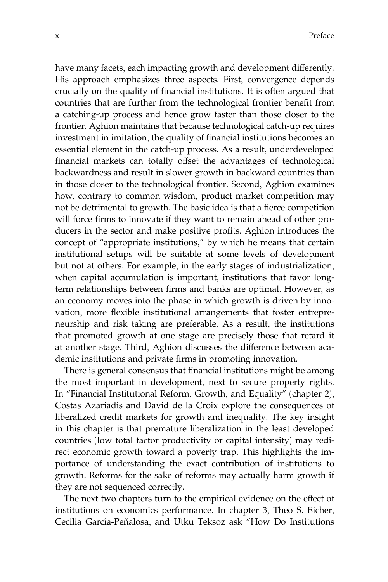have many facets, each impacting growth and development differently. His approach emphasizes three aspects. First, convergence depends crucially on the quality of financial institutions. It is often argued that countries that are further from the technological frontier benefit from a catching-up process and hence grow faster than those closer to the frontier. Aghion maintains that because technological catch-up requires investment in imitation, the quality of financial institutions becomes an essential element in the catch-up process. As a result, underdeveloped financial markets can totally offset the advantages of technological backwardness and result in slower growth in backward countries than in those closer to the technological frontier. Second, Aghion examines how, contrary to common wisdom, product market competition may not be detrimental to growth. The basic idea is that a fierce competition will force firms to innovate if they want to remain ahead of other producers in the sector and make positive profits. Aghion introduces the concept of ''appropriate institutions,'' by which he means that certain institutional setups will be suitable at some levels of development but not at others. For example, in the early stages of industrialization, when capital accumulation is important, institutions that favor longterm relationships between firms and banks are optimal. However, as an economy moves into the phase in which growth is driven by innovation, more flexible institutional arrangements that foster entrepreneurship and risk taking are preferable. As a result, the institutions that promoted growth at one stage are precisely those that retard it at another stage. Third, Aghion discusses the difference between academic institutions and private firms in promoting innovation.

There is general consensus that financial institutions might be among the most important in development, next to secure property rights. In ''Financial Institutional Reform, Growth, and Equality'' (chapter 2), Costas Azariadis and David de la Croix explore the consequences of liberalized credit markets for growth and inequality. The key insight in this chapter is that premature liberalization in the least developed countries (low total factor productivity or capital intensity) may redirect economic growth toward a poverty trap. This highlights the importance of understanding the exact contribution of institutions to growth. Reforms for the sake of reforms may actually harm growth if they are not sequenced correctly.

The next two chapters turn to the empirical evidence on the effect of institutions on economics performance. In chapter 3, Theo S. Eicher, Cecilia García-Peñalosa, and Utku Teksoz ask "How Do Institutions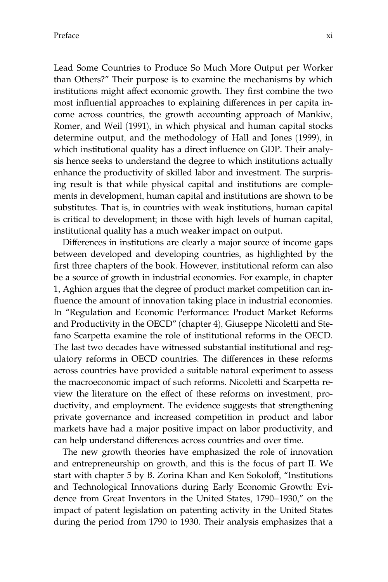Lead Some Countries to Produce So Much More Output per Worker than Others?'' Their purpose is to examine the mechanisms by which institutions might affect economic growth. They first combine the two most influential approaches to explaining differences in per capita income across countries, the growth accounting approach of Mankiw, Romer, and Weil (1991), in which physical and human capital stocks determine output, and the methodology of Hall and Jones (1999), in which institutional quality has a direct influence on GDP. Their analysis hence seeks to understand the degree to which institutions actually enhance the productivity of skilled labor and investment. The surprising result is that while physical capital and institutions are complements in development, human capital and institutions are shown to be substitutes. That is, in countries with weak institutions, human capital is critical to development; in those with high levels of human capital, institutional quality has a much weaker impact on output.

Differences in institutions are clearly a major source of income gaps between developed and developing countries, as highlighted by the first three chapters of the book. However, institutional reform can also be a source of growth in industrial economies. For example, in chapter 1, Aghion argues that the degree of product market competition can influence the amount of innovation taking place in industrial economies. In ''Regulation and Economic Performance: Product Market Reforms and Productivity in the OECD'' (chapter 4), Giuseppe Nicoletti and Stefano Scarpetta examine the role of institutional reforms in the OECD. The last two decades have witnessed substantial institutional and regulatory reforms in OECD countries. The differences in these reforms across countries have provided a suitable natural experiment to assess the macroeconomic impact of such reforms. Nicoletti and Scarpetta review the literature on the effect of these reforms on investment, productivity, and employment. The evidence suggests that strengthening private governance and increased competition in product and labor markets have had a major positive impact on labor productivity, and can help understand differences across countries and over time.

The new growth theories have emphasized the role of innovation and entrepreneurship on growth, and this is the focus of part II. We start with chapter 5 by B. Zorina Khan and Ken Sokoloff, ''Institutions and Technological Innovations during Early Economic Growth: Evidence from Great Inventors in the United States, 1790–1930,'' on the impact of patent legislation on patenting activity in the United States during the period from 1790 to 1930. Their analysis emphasizes that a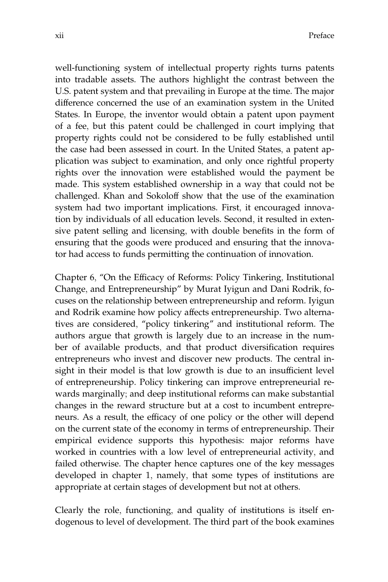well-functioning system of intellectual property rights turns patents into tradable assets. The authors highlight the contrast between the U.S. patent system and that prevailing in Europe at the time. The major difference concerned the use of an examination system in the United States. In Europe, the inventor would obtain a patent upon payment of a fee, but this patent could be challenged in court implying that property rights could not be considered to be fully established until the case had been assessed in court. In the United States, a patent application was subject to examination, and only once rightful property rights over the innovation were established would the payment be made. This system established ownership in a way that could not be challenged. Khan and Sokoloff show that the use of the examination system had two important implications. First, it encouraged innovation by individuals of all education levels. Second, it resulted in extensive patent selling and licensing, with double benefits in the form of ensuring that the goods were produced and ensuring that the innovator had access to funds permitting the continuation of innovation.

Chapter 6, ''On the Efficacy of Reforms: Policy Tinkering, Institutional Change, and Entrepreneurship'' by Murat Iyigun and Dani Rodrik, focuses on the relationship between entrepreneurship and reform. Iyigun and Rodrik examine how policy affects entrepreneurship. Two alternatives are considered, ''policy tinkering'' and institutional reform. The authors argue that growth is largely due to an increase in the number of available products, and that product diversification requires entrepreneurs who invest and discover new products. The central insight in their model is that low growth is due to an insufficient level of entrepreneurship. Policy tinkering can improve entrepreneurial rewards marginally; and deep institutional reforms can make substantial changes in the reward structure but at a cost to incumbent entrepreneurs. As a result, the efficacy of one policy or the other will depend on the current state of the economy in terms of entrepreneurship. Their empirical evidence supports this hypothesis: major reforms have worked in countries with a low level of entrepreneurial activity, and failed otherwise. The chapter hence captures one of the key messages developed in chapter 1, namely, that some types of institutions are appropriate at certain stages of development but not at others.

Clearly the role, functioning, and quality of institutions is itself endogenous to level of development. The third part of the book examines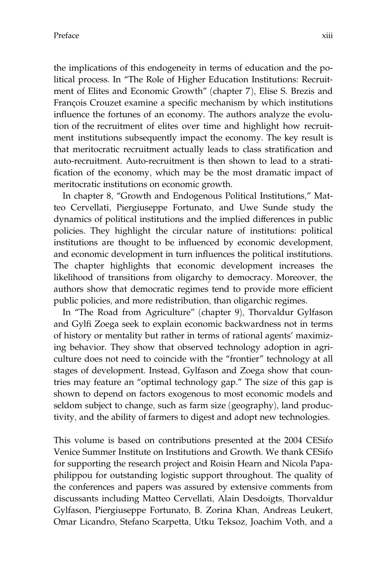the implications of this endogeneity in terms of education and the political process. In ''The Role of Higher Education Institutions: Recruitment of Elites and Economic Growth'' (chapter 7), Elise S. Brezis and François Crouzet examine a specific mechanism by which institutions influence the fortunes of an economy. The authors analyze the evolution of the recruitment of elites over time and highlight how recruitment institutions subsequently impact the economy. The key result is that meritocratic recruitment actually leads to class stratification and auto-recruitment. Auto-recruitment is then shown to lead to a stratification of the economy, which may be the most dramatic impact of meritocratic institutions on economic growth.

In chapter 8, "Growth and Endogenous Political Institutions," Matteo Cervellati, Piergiuseppe Fortunato, and Uwe Sunde study the dynamics of political institutions and the implied differences in public policies. They highlight the circular nature of institutions: political institutions are thought to be influenced by economic development, and economic development in turn influences the political institutions. The chapter highlights that economic development increases the likelihood of transitions from oligarchy to democracy. Moreover, the authors show that democratic regimes tend to provide more efficient public policies, and more redistribution, than oligarchic regimes.

In ''The Road from Agriculture'' (chapter 9), Thorvaldur Gylfason and Gylfi Zoega seek to explain economic backwardness not in terms of history or mentality but rather in terms of rational agents' maximizing behavior. They show that observed technology adoption in agriculture does not need to coincide with the ''frontier'' technology at all stages of development. Instead, Gylfason and Zoega show that countries may feature an ''optimal technology gap.'' The size of this gap is shown to depend on factors exogenous to most economic models and seldom subject to change, such as farm size (geography), land productivity, and the ability of farmers to digest and adopt new technologies.

This volume is based on contributions presented at the 2004 CESifo Venice Summer Institute on Institutions and Growth. We thank CESifo for supporting the research project and Roisin Hearn and Nicola Papaphilippou for outstanding logistic support throughout. The quality of the conferences and papers was assured by extensive comments from discussants including Matteo Cervellati, Alain Desdoigts, Thorvaldur Gylfason, Piergiuseppe Fortunato, B. Zorina Khan, Andreas Leukert, Omar Licandro, Stefano Scarpetta, Utku Teksoz, Joachim Voth, and a